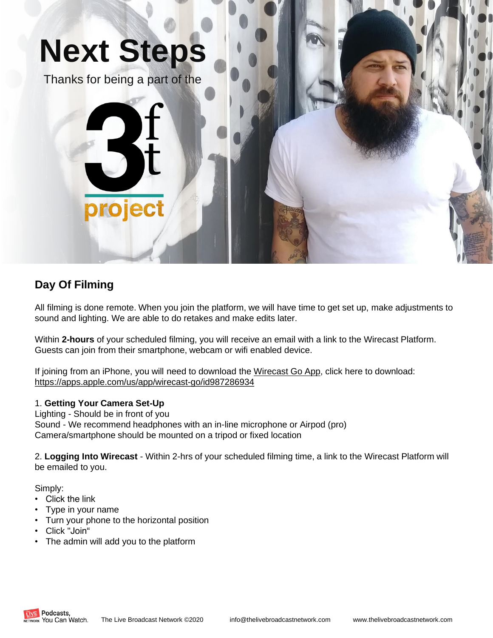

## **Day Of Filming**

All filming is done remote. When you join the platform, we will have time to get set up, make adjustments to sound and lighting. We are able to do retakes and make edits later.

Within **2-hours** of your scheduled filming, you will receive an email with a link to the Wirecast Platform. Guests can join from their smartphone, webcam or wifi enabled device.

If joining from an iPhone, you will need to download the Wirecast Go App, click here to download: https://apps.apple.com/us/app/wirecast-go/id987286934

#### 1. **Getting Your Camera Set-Up**

Lighting - Should be in front of you Sound - We recommend headphones with an in-line microphone or Airpod (pro) Camera/smartphone should be mounted on a tripod or fixed location

2. **Logging Into Wirecast** - Within 2-hrs of your scheduled filming time, a link to the Wirecast Platform will be emailed to you.

Simply:

- Click the link
- Type in your name
- Turn your phone to the horizontal position
- Click "Join"
- The admin will add you to the platform

Podcasts. RK You Can Watch.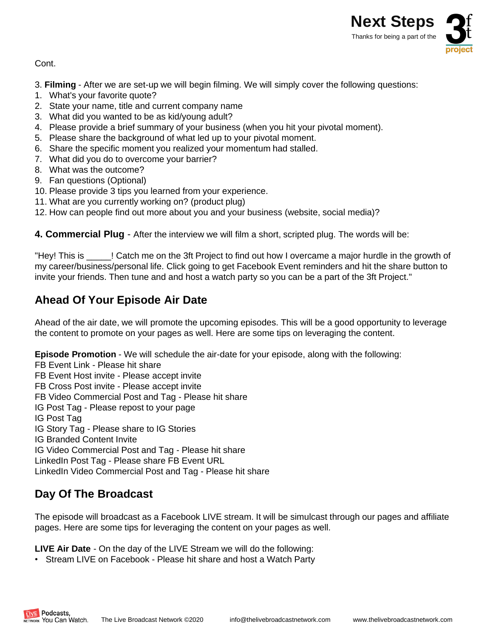

Cont.

- 3. **Filming**  After we are set-up we will begin filming. We will simply cover the following questions:
- 1. What's your favorite quote?
- 2. State your name, title and current company name
- 3. What did you wanted to be as kid/young adult?
- 4. Please provide a brief summary of your business (when you hit your pivotal moment).
- 5. Please share the background of what led up to your pivotal moment.
- 6. Share the specific moment you realized your momentum had stalled.
- 7. What did you do to overcome your barrier?
- 8. What was the outcome?
- 9. Fan questions (Optional)
- 10. Please provide 3 tips you learned from your experience.
- 11. What are you currently working on? (product plug)
- 12. How can people find out more about you and your business (website, social media)?

**4. Commercial Plug** - After the interview we will film a short, scripted plug. The words will be:

"Hey! This is \_\_\_\_\_! Catch me on the 3ft Project to find out how I overcame a major hurdle in the growth of my career/business/personal life. Click going to get Facebook Event reminders and hit the share button to invite your friends. Then tune and and host a watch party so you can be a part of the 3ft Project."

### **Ahead Of Your Episode Air Date**

Ahead of the air date, we will promote the upcoming episodes. This will be a good opportunity to leverage the content to promote on your pages as well. Here are some tips on leveraging the content.

**Episode Promotion** - We will schedule the air-date for your episode, along with the following:

FB Event Link - Please hit share FB Event Host invite - Please accept invite FB Cross Post invite - Please accept invite FB Video Commercial Post and Tag - Please hit share IG Post Tag - Please repost to your page IG Post Tag IG Story Tag - Please share to IG Stories IG Branded Content Invite IG Video Commercial Post and Tag - Please hit share LinkedIn Post Tag - Please share FB Event URL LinkedIn Video Commercial Post and Tag - Please hit share

# **Day Of The Broadcast**

Podcasts. WORK You Can Watch.

The episode will broadcast as a Facebook LIVE stream. It will be simulcast through our pages and affiliate pages. Here are some tips for leveraging the content on your pages as well.

**LIVE Air Date** - On the day of the LIVE Stream we will do the following:

• Stream LIVE on Facebook - Please hit share and host a Watch Party

The Live Broadcast Network ©2020 info@thelivebroadcastnetwork.com www.thelivebroadcastnetwork.com